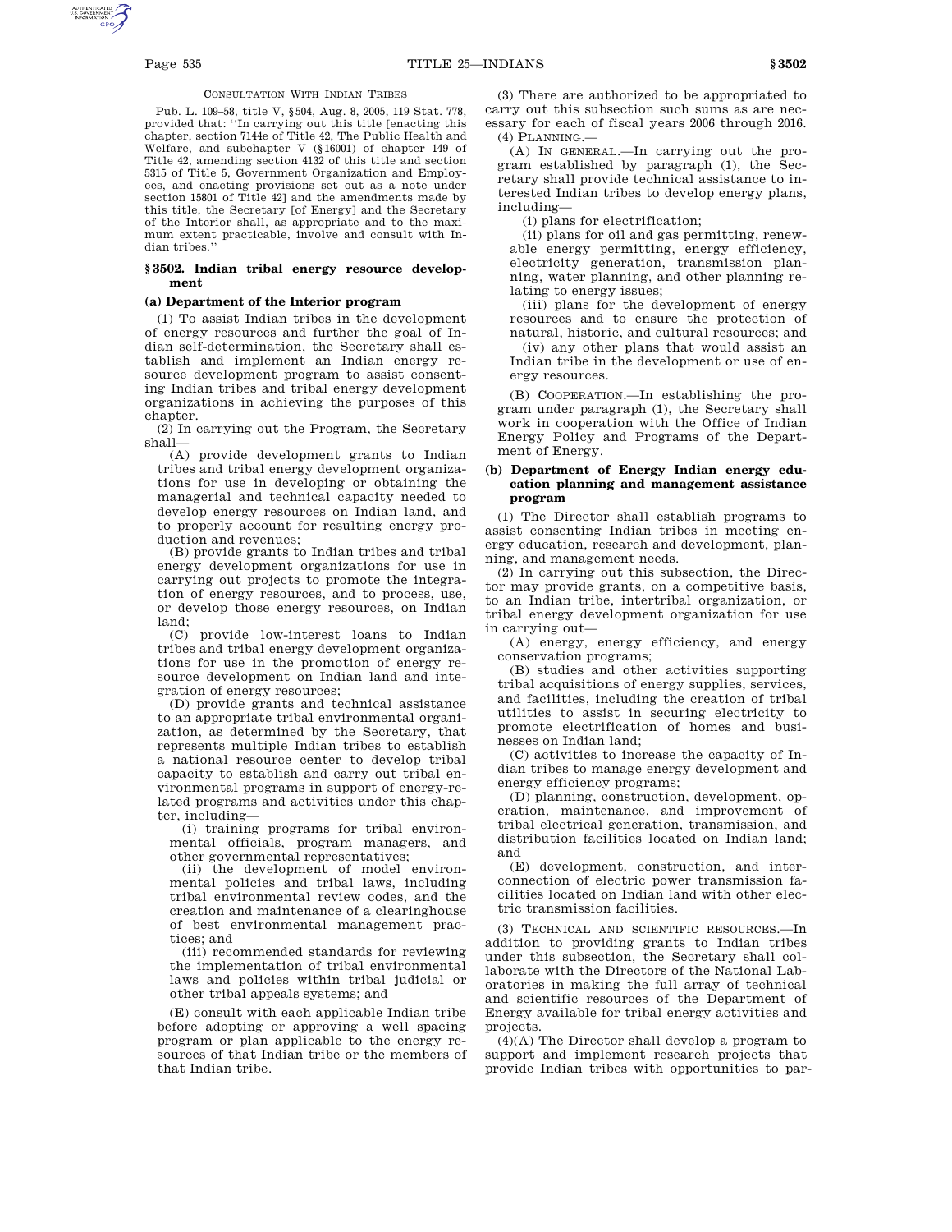### CONSULTATION WITH INDIAN TRIBES

Pub. L. 109–58, title V, §504, Aug. 8, 2005, 119 Stat. 778, provided that: ''In carrying out this title [enacting this chapter, section 7144e of Title 42, The Public Health and Welfare, and subchapter V (§16001) of chapter 149 of Title 42, amending section 4132 of this title and section 5315 of Title 5, Government Organization and Employees, and enacting provisions set out as a note under section 15801 of Title 42] and the amendments made by this title, the Secretary [of Energy] and the Secretary of the Interior shall, as appropriate and to the maximum extent practicable, involve and consult with Indian tribes.''

### **§ 3502. Indian tribal energy resource development**

### **(a) Department of the Interior program**

(1) To assist Indian tribes in the development of energy resources and further the goal of Indian self-determination, the Secretary shall establish and implement an Indian energy resource development program to assist consenting Indian tribes and tribal energy development organizations in achieving the purposes of this chapter.

(2) In carrying out the Program, the Secretary shall—

(A) provide development grants to Indian tribes and tribal energy development organizations for use in developing or obtaining the managerial and technical capacity needed to develop energy resources on Indian land, and to properly account for resulting energy production and revenues;

(B) provide grants to Indian tribes and tribal energy development organizations for use in carrying out projects to promote the integration of energy resources, and to process, use, or develop those energy resources, on Indian land;

(C) provide low-interest loans to Indian tribes and tribal energy development organizations for use in the promotion of energy resource development on Indian land and integration of energy resources;

(D) provide grants and technical assistance to an appropriate tribal environmental organization, as determined by the Secretary, that represents multiple Indian tribes to establish a national resource center to develop tribal capacity to establish and carry out tribal environmental programs in support of energy-related programs and activities under this chapter, including—

(i) training programs for tribal environmental officials, program managers, and other governmental representatives;

(ii) the development of model environmental policies and tribal laws, including tribal environmental review codes, and the creation and maintenance of a clearinghouse of best environmental management practices; and

(iii) recommended standards for reviewing the implementation of tribal environmental laws and policies within tribal judicial or other tribal appeals systems; and

(E) consult with each applicable Indian tribe before adopting or approving a well spacing program or plan applicable to the energy resources of that Indian tribe or the members of that Indian tribe.

(3) There are authorized to be appropriated to carry out this subsection such sums as are necessary for each of fiscal years 2006 through 2016. (4) PLANNING.—

(A) IN GENERAL.—In carrying out the program established by paragraph (1), the Secretary shall provide technical assistance to interested Indian tribes to develop energy plans, including—

(i) plans for electrification;

(ii) plans for oil and gas permitting, renewable energy permitting, energy efficiency, electricity generation, transmission planning, water planning, and other planning relating to energy issues;

(iii) plans for the development of energy resources and to ensure the protection of natural, historic, and cultural resources; and

(iv) any other plans that would assist an Indian tribe in the development or use of energy resources.

(B) COOPERATION.—In establishing the program under paragraph (1), the Secretary shall work in cooperation with the Office of Indian Energy Policy and Programs of the Department of Energy.

### **(b) Department of Energy Indian energy education planning and management assistance program**

(1) The Director shall establish programs to assist consenting Indian tribes in meeting energy education, research and development, planning, and management needs.

(2) In carrying out this subsection, the Director may provide grants, on a competitive basis, to an Indian tribe, intertribal organization, or tribal energy development organization for use in carrying out—

(A) energy, energy efficiency, and energy conservation programs;

(B) studies and other activities supporting tribal acquisitions of energy supplies, services, and facilities, including the creation of tribal utilities to assist in securing electricity to promote electrification of homes and businesses on Indian land;

(C) activities to increase the capacity of Indian tribes to manage energy development and energy efficiency programs;

(D) planning, construction, development, operation, maintenance, and improvement of tribal electrical generation, transmission, and distribution facilities located on Indian land; and

(E) development, construction, and interconnection of electric power transmission facilities located on Indian land with other electric transmission facilities.

(3) TECHNICAL AND SCIENTIFIC RESOURCES.—In addition to providing grants to Indian tribes under this subsection, the Secretary shall collaborate with the Directors of the National Laboratories in making the full array of technical and scientific resources of the Department of Energy available for tribal energy activities and projects.

(4)(A) The Director shall develop a program to support and implement research projects that provide Indian tribes with opportunities to par-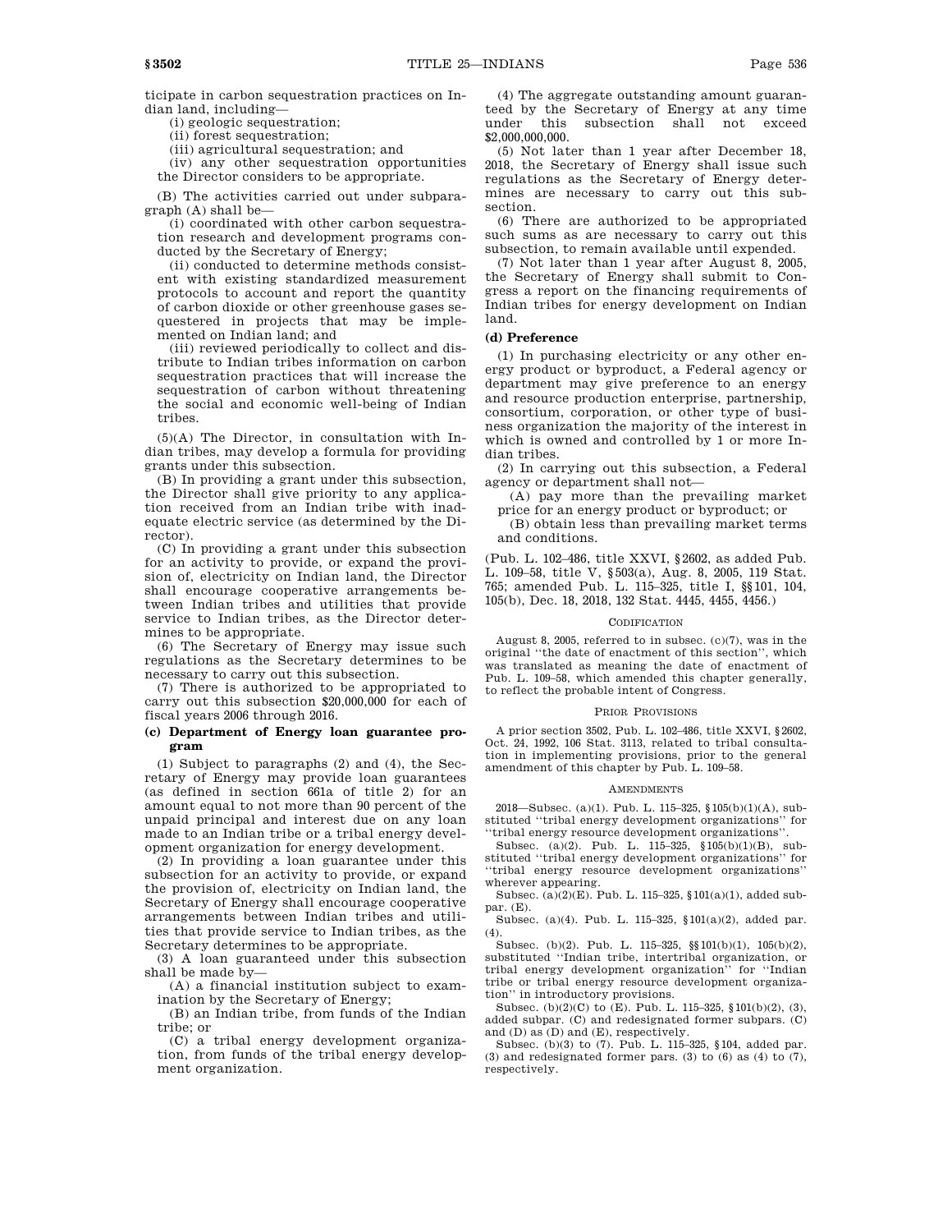ticipate in carbon sequestration practices on Indian land, including—

(i) geologic sequestration;

(ii) forest sequestration;

(iii) agricultural sequestration; and

(iv) any other sequestration opportunities the Director considers to be appropriate.

(B) The activities carried out under subparagraph (A) shall be—

(i) coordinated with other carbon sequestration research and development programs conducted by the Secretary of Energy;

(ii) conducted to determine methods consistent with existing standardized measurement protocols to account and report the quantity of carbon dioxide or other greenhouse gases sequestered in projects that may be implemented on Indian land; and

(iii) reviewed periodically to collect and distribute to Indian tribes information on carbon sequestration practices that will increase the sequestration of carbon without threatening the social and economic well-being of Indian tribes.

(5)(A) The Director, in consultation with Indian tribes, may develop a formula for providing grants under this subsection.

(B) In providing a grant under this subsection, the Director shall give priority to any application received from an Indian tribe with inadequate electric service (as determined by the Director).

(C) In providing a grant under this subsection for an activity to provide, or expand the provision of, electricity on Indian land, the Director shall encourage cooperative arrangements between Indian tribes and utilities that provide service to Indian tribes, as the Director determines to be appropriate.

(6) The Secretary of Energy may issue such regulations as the Secretary determines to be necessary to carry out this subsection.

(7) There is authorized to be appropriated to carry out this subsection \$20,000,000 for each of fiscal years 2006 through 2016.

### **(c) Department of Energy loan guarantee program**

(1) Subject to paragraphs (2) and (4), the Secretary of Energy may provide loan guarantees (as defined in section 661a of title 2) for an amount equal to not more than 90 percent of the unpaid principal and interest due on any loan made to an Indian tribe or a tribal energy development organization for energy development.

(2) In providing a loan guarantee under this subsection for an activity to provide, or expand the provision of, electricity on Indian land, the Secretary of Energy shall encourage cooperative arrangements between Indian tribes and utilities that provide service to Indian tribes, as the Secretary determines to be appropriate.

(3) A loan guaranteed under this subsection shall be made by—

(A) a financial institution subject to examination by the Secretary of Energy

(B) an Indian tribe, from funds of the Indian tribe; or

(C) a tribal energy development organization, from funds of the tribal energy development organization.

(4) The aggregate outstanding amount guaranteed by the Secretary of Energy at any time under this subsection shall not exceed \$2,000,000,000.

(5) Not later than 1 year after December 18, 2018, the Secretary of Energy shall issue such regulations as the Secretary of Energy determines are necessary to carry out this subsection.

(6) There are authorized to be appropriated such sums as are necessary to carry out this subsection, to remain available until expended.

(7) Not later than 1 year after August 8, 2005, the Secretary of Energy shall submit to Congress a report on the financing requirements of Indian tribes for energy development on Indian land.

### **(d) Preference**

(1) In purchasing electricity or any other energy product or byproduct, a Federal agency or department may give preference to an energy and resource production enterprise, partnership, consortium, corporation, or other type of business organization the majority of the interest in which is owned and controlled by 1 or more Indian tribes.

(2) In carrying out this subsection, a Federal agency or department shall not—

(A) pay more than the prevailing market price for an energy product or byproduct; or

(B) obtain less than prevailing market terms and conditions.

(Pub. L. 102–486, title XXVI, §2602, as added Pub. L. 109–58, title V, §503(a), Aug. 8, 2005, 119 Stat. 765; amended Pub. L. 115–325, title I, §§101, 104, 105(b), Dec. 18, 2018, 132 Stat. 4445, 4455, 4456.)

#### CODIFICATION

August 8, 2005, referred to in subsec. (c)(7), was in the original ''the date of enactment of this section'', which was translated as meaning the date of enactment of Pub. L. 109–58, which amended this chapter generally, to reflect the probable intent of Congress.

#### PRIOR PROVISIONS

A prior section 3502, Pub. L. 102–486, title XXVI, §2602, Oct. 24, 1992, 106 Stat. 3113, related to tribal consultation in implementing provisions, prior to the general amendment of this chapter by Pub. L. 109–58.

#### **AMENDMENTS**

2018—Subsec. (a)(1). Pub. L. 115–325, §105(b)(1)(A), substituted ''tribal energy development organizations'' for ''tribal energy resource development organizations''.

Subsec. (a)(2). Pub. L. 115–325, §105(b)(1)(B), substituted ''tribal energy development organizations'' for ''tribal energy resource development organizations'' wherever appearing.

Subsec. (a)(2)(E). Pub. L. 115–325, §101(a)(1), added subpar. (E).

Subsec. (a)(4). Pub. L. 115–325, §101(a)(2), added par. (4).

Subsec. (b)(2). Pub. L. 115–325, §§101(b)(1), 105(b)(2), substituted ''Indian tribe, intertribal organization, or tribal energy development organization'' for ''Indian tribe or tribal energy resource development organization'' in introductory provisions.

Subsec. (b)(2)(C) to (E). Pub. L. 115–325, §101(b)(2), (3), added subpar. (C) and redesignated former subpars. (C) and (D) as (D) and (E), respectively.

Subsec. (b)(3) to (7). Pub. L. 115–325, §104, added par. (3) and redesignated former pars. (3) to  $(6)$  as  $(4)$  to  $(7)$ , respectively.